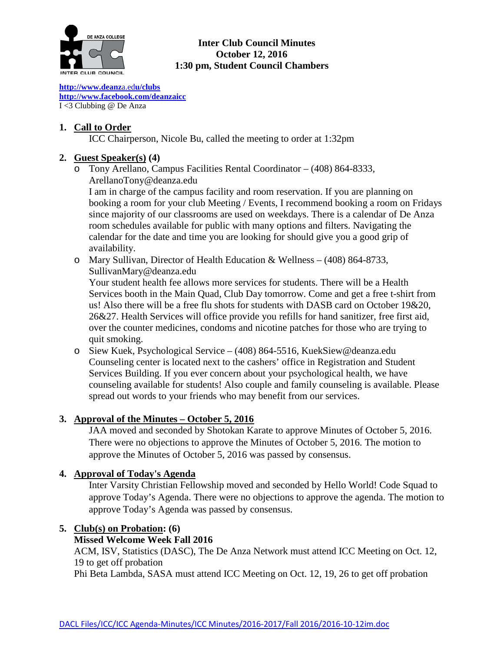

## **Inter Club Council Minutes October 12, 2016 1:30 pm, Student Council Chambers**

**[http://www.deanz](http://www.deanza.edu/clubs)**[a.ed](http://www.deanza.edu/clubs)**[u/clubs](http://www.deanza.edu/clubs) [http://www.facebook.com/deanzaicc](http://www.facebook.com/home.php#!/group.php?gid=59034552686)** I <3 Clubbing @ De Anza

## **1. Call to Order**

ICC Chairperson, Nicole Bu, called the meeting to order at 1:32pm

# **2. Guest Speaker(s) (4)**

o Tony Arellano, Campus Facilities Rental Coordinator – (408) 864-8333, [ArellanoTony@deanza.edu](mailto:ArellanoTony@deanza.edu)

I am in charge of the campus facility and room reservation. If you are planning on booking a room for your club Meeting / Events, I recommend booking a room on Fridays since majority of our classrooms are used on weekdays. There is a calendar of De Anza room schedules available for public with many options and filters. Navigating the calendar for the date and time you are looking for should give you a good grip of availability.

o Mary Sullivan, Director of Health Education & Wellness – (408) 864-8733, [SullivanMary@deanza.edu](mailto:SullivanMary@deanza.edu)

Your student health fee allows more services for students. There will be a Health Services booth in the Main Quad, Club Day tomorrow. Come and get a free t-shirt from us! Also there will be a free flu shots for students with DASB card on October 19&20, 26&27. Health Services will office provide you refills for hand sanitizer, free first aid, over the counter medicines, condoms and nicotine patches for those who are trying to quit smoking.

o Siew Kuek, Psychological Service – (408) 864-5516, [KuekSiew@deanza.edu](mailto:KuekSiew@deanza.edu) Counseling center is located next to the cashers' office in Registration and Student Services Building. If you ever concern about your psychological health, we have counseling available for students! Also couple and family counseling is available. Please spread out words to your friends who may benefit from our services.

# **3. Approval of the Minutes – October 5, 2016**

JAA moved and seconded by Shotokan Karate to approve Minutes of October 5, 2016. There were no objections to approve the Minutes of October 5, 2016. The motion to approve the Minutes of October 5, 2016 was passed by consensus.

## **4. Approval of Today's Agenda**

Inter Varsity Christian Fellowship moved and seconded by Hello World! Code Squad to approve Today's Agenda. There were no objections to approve the agenda. The motion to approve Today's Agenda was passed by consensus.

## **5. Club(s) on Probation: (6)**

## **Missed Welcome Week Fall 2016**

ACM, ISV, Statistics (DASC), The De Anza Network must attend ICC Meeting on Oct. 12, 19 to get off probation

Phi Beta Lambda, SASA must attend ICC Meeting on Oct. 12, 19, 26 to get off probation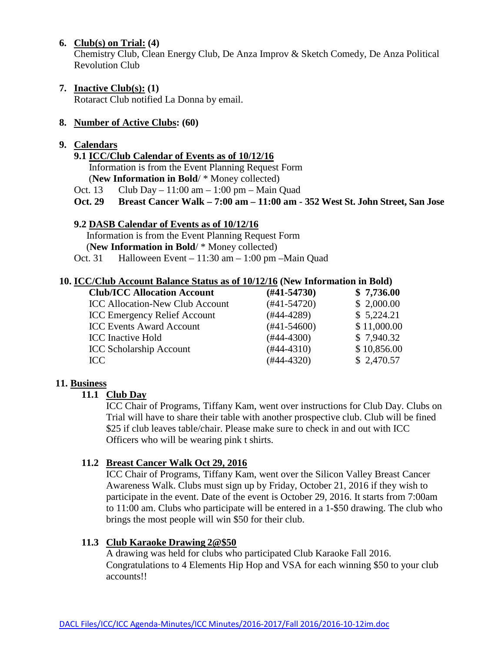#### **6. Club(s) on Trial: (4)**

Chemistry Club, Clean Energy Club, De Anza Improv & Sketch Comedy, De Anza Political Revolution Club

**7. Inactive Club(s): (1)**

Rotaract Club notified La Donna by email.

## **8. Number of Active Clubs: (60)**

## **9. Calendars**

## **9.1 ICC/Club Calendar of Events as of 10/12/16**

 Information is from the Event Planning Request Form (**New Information in Bold**/ \* Money collected)

Oct. 13 Club Day – 11:00 am – 1:00 pm – Main Quad

**Oct. 29 Breast Cancer Walk – 7:00 am – 11:00 am - 352 West St. John Street, San Jose**

## **9.2 DASB Calendar of Events as of 10/12/16**

Information is from the Event Planning Request Form (**New Information in Bold**/ \* Money collected)

Oct. 31 Halloween Event – 11:30 am – 1:00 pm –Main Quad

#### **10. ICC/Club Account Balance Status as of 10/12/16 (New Information in Bold)**

| $(\#41 - 54730)$ | \$7,736.00  |  |
|------------------|-------------|--|
| $(#41-54720)$    | \$2,000.00  |  |
| $(#44-4289)$     | \$5,224.21  |  |
| $(#41-54600)$    | \$11,000.00 |  |
| $(#44-4300)$     | \$7,940.32  |  |
| $(#44-4310)$     | \$10,856.00 |  |
| $(#44-4320)$     | \$2,470.57  |  |
|                  |             |  |

## **11. Business**

## **11.1 Club Day**

ICC Chair of Programs, Tiffany Kam, went over instructions for Club Day. Clubs on Trial will have to share their table with another prospective club. Club will be fined \$25 if club leaves table/chair. Please make sure to check in and out with ICC Officers who will be wearing pink t shirts.

## **11.2 Breast Cancer Walk Oct 29, 2016**

ICC Chair of Programs, Tiffany Kam, went over the Silicon Valley Breast Cancer Awareness Walk. Clubs must sign up by Friday, October 21, 2016 if they wish to participate in the event. Date of the event is October 29, 2016. It starts from 7:00am to 11:00 am. Clubs who participate will be entered in a 1-\$50 drawing. The club who brings the most people will win \$50 for their club.

## **11.3 Club Karaoke Drawing 2@\$50**

A drawing was held for clubs who participated Club Karaoke Fall 2016. Congratulations to 4 Elements Hip Hop and VSA for each winning \$50 to your club accounts!!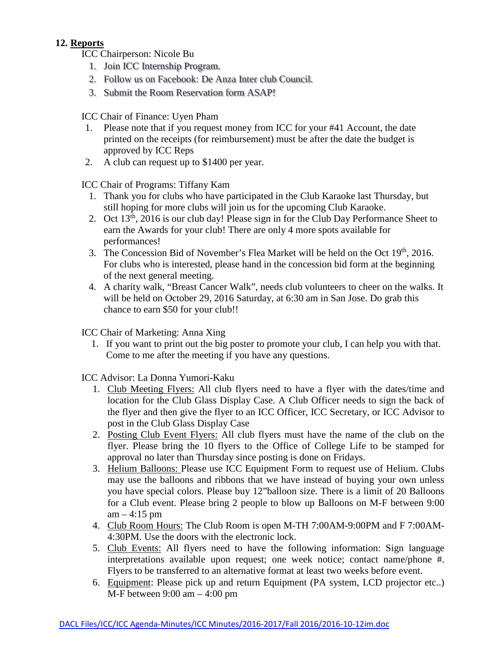# **12. Reports**

- ICC Chairperson: Nicole Bu
	- 1. Join ICC Internship Program.
	- 2. Follow us on Facebook: De Anza Inter club Council.
	- 3. Submit the Room Reservation form ASAP!

ICC Chair of Finance: Uyen Pham

- 1. Please note that if you request money from ICC for your #41 Account, the date printed on the receipts (for reimbursement) must be after the date the budget is approved by ICC Reps
- 2. A club can request up to \$1400 per year.

ICC Chair of Programs: Tiffany Kam

- 1. Thank you for clubs who have participated in the Club Karaoke last Thursday, but still hoping for more clubs will join us for the upcoming Club Karaoke.
- 2. Oct  $13<sup>th</sup>$ , 2016 is our club day! Please sign in for the Club Day Performance Sheet to earn the Awards for your club! There are only 4 more spots available for performances!
- 3. The Concession Bid of November's Flea Market will be held on the Oct  $19<sup>th</sup>$ , 2016. For clubs who is interested, please hand in the concession bid form at the beginning of the next general meeting.
- 4. A charity walk, "Breast Cancer Walk", needs club volunteers to cheer on the walks. It will be held on October 29, 2016 Saturday, at 6:30 am in San Jose. Do grab this chance to earn \$50 for your club!!

ICC Chair of Marketing: Anna Xing

1. If you want to print out the big poster to promote your club, I can help you with that. Come to me after the meeting if you have any questions.

ICC Advisor: La Donna Yumori-Kaku

- 1. Club Meeting Flyers: All club flyers need to have a flyer with the dates/time and location for the Club Glass Display Case. A Club Officer needs to sign the back of the flyer and then give the flyer to an ICC Officer, ICC Secretary, or ICC Advisor to post in the Club Glass Display Case
- 2. Posting Club Event Flyers: All club flyers must have the name of the club on the flyer. Please bring the 10 flyers to the Office of College Life to be stamped for approval no later than Thursday since posting is done on Fridays.
- 3. Helium Balloons: Please use ICC Equipment Form to request use of Helium. Clubs may use the balloons and ribbons that we have instead of buying your own unless you have special colors. Please buy 12"balloon size. There is a limit of 20 Balloons for a Club event. Please bring 2 people to blow up Balloons on M-F between 9:00  $am - 4:15$  pm
- 4. Club Room Hours: The Club Room is open M-TH 7:00AM-9:00PM and F 7:00AM-4:30PM. Use the doors with the electronic lock.
- 5. Club Events: All flyers need to have the following information: Sign language interpretations available upon request; one week notice; contact name/phone #. Flyers to be transferred to an alternative format at least two weeks before event.
- 6. Equipment: Please pick up and return Equipment (PA system, LCD projector etc..) M-F between 9:00 am – 4:00 pm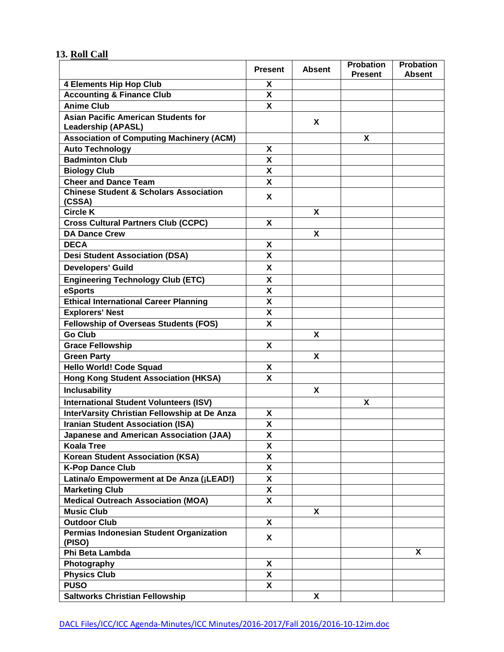# **13. Roll Call**

|                                                                         | <b>Present</b>            | <b>Absent</b> | <b>Probation</b><br><b>Present</b> | <b>Probation</b><br><b>Absent</b> |
|-------------------------------------------------------------------------|---------------------------|---------------|------------------------------------|-----------------------------------|
| <b>4 Elements Hip Hop Club</b>                                          | X                         |               |                                    |                                   |
| <b>Accounting &amp; Finance Club</b>                                    | $\boldsymbol{\mathsf{X}}$ |               |                                    |                                   |
| <b>Anime Club</b>                                                       | $\overline{\mathbf{x}}$   |               |                                    |                                   |
| <b>Asian Pacific American Students for</b><br><b>Leadership (APASL)</b> |                           | X             |                                    |                                   |
| <b>Association of Computing Machinery (ACM)</b>                         |                           |               | X                                  |                                   |
| <b>Auto Technology</b>                                                  | X                         |               |                                    |                                   |
| <b>Badminton Club</b>                                                   | $\boldsymbol{\mathsf{x}}$ |               |                                    |                                   |
| <b>Biology Club</b>                                                     | X                         |               |                                    |                                   |
| <b>Cheer and Dance Team</b>                                             | X                         |               |                                    |                                   |
| <b>Chinese Student &amp; Scholars Association</b>                       | X                         |               |                                    |                                   |
| (CSSA)                                                                  |                           |               |                                    |                                   |
| <b>Circle K</b>                                                         |                           | X             |                                    |                                   |
| <b>Cross Cultural Partners Club (CCPC)</b>                              | X                         |               |                                    |                                   |
| <b>DA Dance Crew</b>                                                    |                           | X             |                                    |                                   |
| <b>DECA</b>                                                             | X                         |               |                                    |                                   |
| <b>Desi Student Association (DSA)</b>                                   | X                         |               |                                    |                                   |
| <b>Developers' Guild</b>                                                | X                         |               |                                    |                                   |
| <b>Engineering Technology Club (ETC)</b>                                | X                         |               |                                    |                                   |
| eSports                                                                 | $\boldsymbol{\mathsf{x}}$ |               |                                    |                                   |
| Ethical International Career Planning                                   | X                         |               |                                    |                                   |
| <b>Explorers' Nest</b>                                                  | $\boldsymbol{\mathsf{X}}$ |               |                                    |                                   |
| <b>Fellowship of Overseas Students (FOS)</b>                            | $\boldsymbol{\mathsf{x}}$ |               |                                    |                                   |
| <b>Go Club</b>                                                          |                           | X             |                                    |                                   |
| <b>Grace Fellowship</b>                                                 | X                         |               |                                    |                                   |
| <b>Green Party</b>                                                      |                           | X             |                                    |                                   |
| <b>Hello World! Code Squad</b>                                          | X                         |               |                                    |                                   |
| <b>Hong Kong Student Association (HKSA)</b>                             | X                         |               |                                    |                                   |
| <b>Inclusability</b>                                                    |                           | X             |                                    |                                   |
| <b>International Student Volunteers (ISV)</b>                           |                           |               | X                                  |                                   |
| InterVarsity Christian Fellowship at De Anza                            | X                         |               |                                    |                                   |
| <b>Iranian Student Association (ISA)</b>                                | $\boldsymbol{\mathsf{x}}$ |               |                                    |                                   |
| Japanese and American Association (JAA)                                 | X                         |               |                                    |                                   |
| <b>Koala Tree</b>                                                       | X                         |               |                                    |                                   |
| <b>Korean Student Association (KSA)</b>                                 | X                         |               |                                    |                                   |
| <b>K-Pop Dance Club</b>                                                 | X                         |               |                                    |                                   |
| Latina/o Empowerment at De Anza (¡LEAD!)                                | X                         |               |                                    |                                   |
| <b>Marketing Club</b>                                                   | X                         |               |                                    |                                   |
| <b>Medical Outreach Association (MOA)</b>                               | X                         |               |                                    |                                   |
| <b>Music Club</b>                                                       |                           | X             |                                    |                                   |
| <b>Outdoor Club</b>                                                     | X                         |               |                                    |                                   |
| Permias Indonesian Student Organization<br>(PISO)                       | X                         |               |                                    |                                   |
| Phi Beta Lambda                                                         |                           |               |                                    | X                                 |
| Photography                                                             | X                         |               |                                    |                                   |
| <b>Physics Club</b>                                                     | X                         |               |                                    |                                   |
| <b>PUSO</b>                                                             | X                         |               |                                    |                                   |
| <b>Saltworks Christian Fellowship</b>                                   |                           | X             |                                    |                                   |